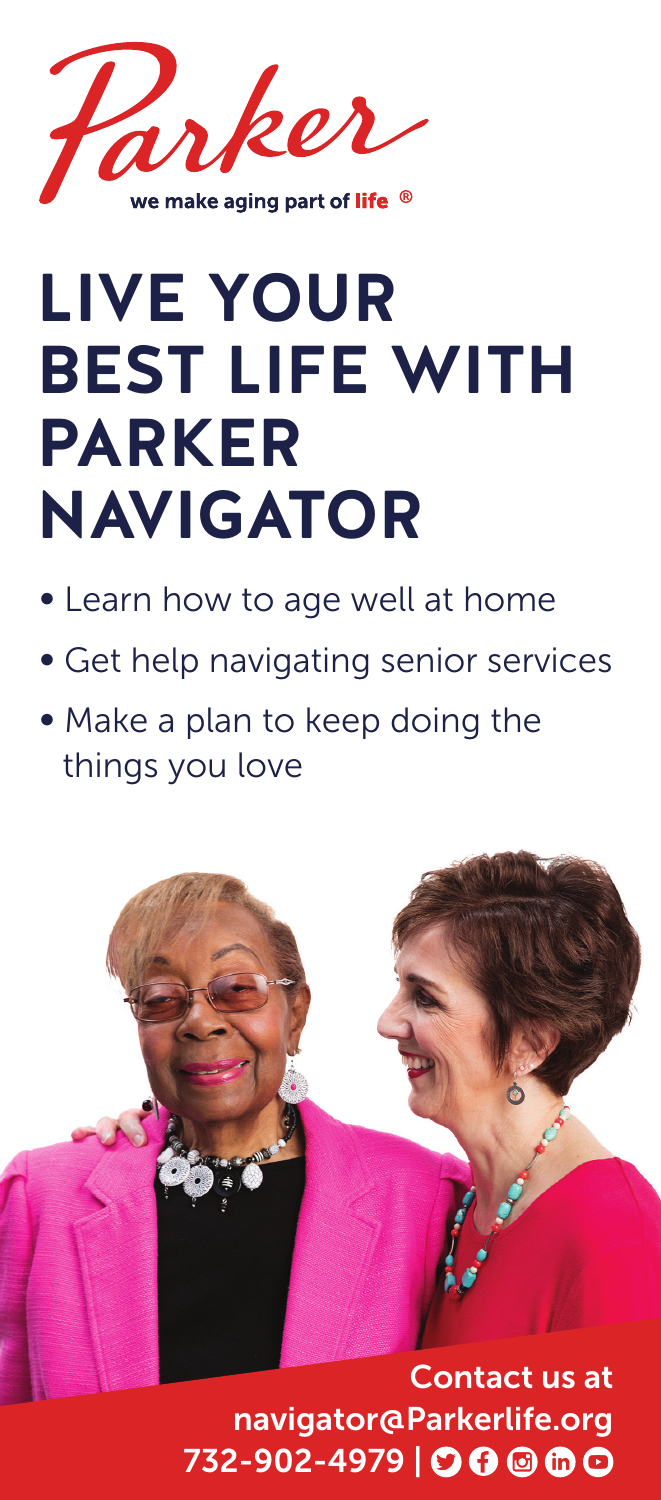

# **LIVE YOUR BEST LIFE WITH PARKER NAVIGATOR**

- Learn how to age well at home
- Get help navigating senior services
- Make a plan to keep doing the things you love

Contact us at

navigator@Parkerlife.org 732-902-4979 | **0 0 0 m 0**